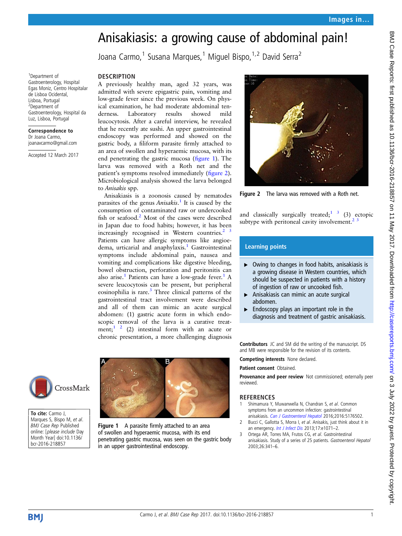## Anisakiasis: a growing cause of abdominal pain!

Joana Carmo,<sup>1</sup> Susana Marques,<sup>1</sup> Miquel Bispo,  $1,2$  David Serra<sup>2</sup>

## **DESCRIPTION**

1 Department of Gastroenterology, Hospital Egas Moniz, Centro Hospitalar de Lisboa Ocidental, Lisboa, Portugal 2 Department of

Gastroenterology, Hospital da Luz, Lisboa, Portugal Correspondence to Dr Joana Carmo, joanavcarmo@gmail.com Accepted 12 March 2017

A previously healthy man, aged 32 years, was admitted with severe epigastric pain, vomiting and low-grade fever since the previous week. On physical examination, he had moderate abdominal tenderness. Laboratory results showed mild leucocytosis. After a careful interview, he revealed that he recently ate sushi. An upper gastrointestinal endoscopy was performed and showed on the gastric body, a filiform parasite firmly attached to an area of swollen and hyperaemic mucosa, with its end penetrating the gastric mucosa (figure 1). The larva was removed with a Roth net and the patient's symptoms resolved immediately (figure 2). Microbiological analysis showed the larva belonged to Anisakis spp.

Anisakiasis is a zoonosis caused by nematodes parasites of the genus Anisakis.<sup>1</sup> It is caused by the consumption of contaminated raw or undercooked fish or seafood.<sup>2</sup> Most of the cases were described in Japan due to food habits; however, it has been increasingly recognised in Western countries. $2<sup>3</sup>$ Patients can have allergic symptoms like angioedema, urticarial and anaphylaxis.<sup>1</sup> Gastrointestinal symptoms include abdominal pain, nausea and vomiting and complications like digestive bleeding, bowel obstruction, perforation and peritonitis can also arise.<sup>1</sup> Patients can have a low-grade fever.<sup>1</sup> A severe leucocytosis can be present, but peripheral eosinophilia is rare.<sup>3</sup> Three clinical patterns of the gastrointestinal tract involvement were described and all of them can mimic an acute surgical abdomen: (1) gastric acute form in which endoscopic removal of the larva is a curative treatment;<sup>1 2</sup> (2) intestinal form with an acute or chronic presentation, a more challenging diagnosis



Figure 2 The larva was removed with a Roth net.

and classically surgically treated;  $\frac{1}{3}$  (3) ectopic subtype with peritoneal cavity involvement.<sup>2</sup>

## Learning points

- ▸ Owing to changes in food habits, anisakiasis is a growing disease in Western countries, which should be suspected in patients with a history of ingestion of raw or uncooked fish.
- ▶ Anisakiasis can mimic an acute surgical abdomen.
- $\blacktriangleright$  Endoscopy plays an important role in the diagnosis and treatment of gastric anisakiasis.

Contributors JC and SM did the writing of the manuscript. DS and MB were responsible for the revision of its contents.

Competing interests None declared.

Patient consent Obtained.

Provenance and peer review Not commissioned; externally peer reviewed.

## **REFERENCES**

- Shimamura Y, Muwanwella N, Chandran S, et al. Common symptoms from an uncommon infection: gastrointestinal anisakiasis. [Can J Gastroenterol Hepatol](http://dx.doi.org/10.1155/2016/5176502) 2016;2016:5176502.
- 2 Bucci C, Gallotta S, Morra I, et al. Anisakis, just think about it in an emergency. [Int J Infect Dis](http://dx.doi.org/10.1016/j.ijid.2013.05.008) 2013;17:e1071-2.
- 3 Ortega AR, Torres MA, Frutos CG, et al. Gastrointestinal anisakiasis. Study of a series of 25 patients. Gastroenterol Hepatol 2003;26:341–6.



To cite: Carmo J, Marques S, Bispo M, et al. BMJ Case Rep Published online: [please include Day Month Year] doi:10.1136/ bcr-2016-218857



Figure 1 A parasite firmly attached to an area of swollen and hyperaemic mucosa, with its end penetrating gastric mucosa, was seen on the gastric body in an upper gastrointestinal endoscopy.